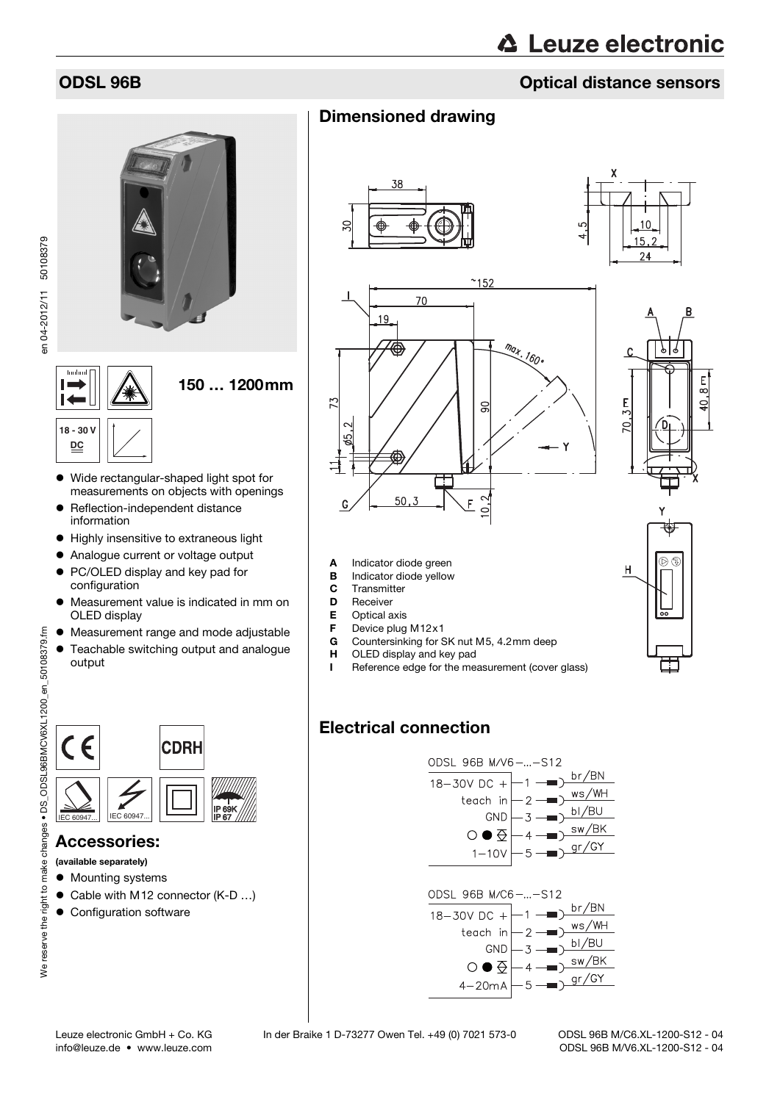## ODSL 96B Optical distance sensors

# 150 … 1200mm  $\overline{1}$ **18 - 30 V DC** Wide rectangular-shaped light spot for measurements on objects with openings • Reflection-independent distance information  $\bullet$  Highly insensitive to extraneous light Analogue current or voltage output PC/OLED display and key pad for configuration Measurement value is indicated in mm on OLED display Measurement range and mode adjustable Teachable switching output and analogue output  $\epsilon$ **CDRH**

### Accessories:

We reserve the right to make changes • DS\_ODSL96BMCV6XL1200\_en\_50108379.fm

We reserve the right to make

changes • DS ODSL96BMCV6XL1200 en 50108379.fm

(available separately)

- $\bullet$  Mounting systems
- Cable with M12 connector (K-D ...)

 $\sum_{\mathsf{IEC}\,60947\ldots}$  IEC 60947... IIEC 60947...

<u>IP 67</u>

• Configuration software

## Dimensioned drawing







Countersinking for SK nut M5, 4.2mm deep



#### **H** OLED display and key pad I Reference edge for the measurement (cover glass)

A Indicator diode green **B** Indicator diode yellow C Transmitter D Receiver **E** Optical axis<br>**F** Device plug **F** Device plug M12 $\times$ 1

## Electrical connection



info@leuze.de • www.leuze.com